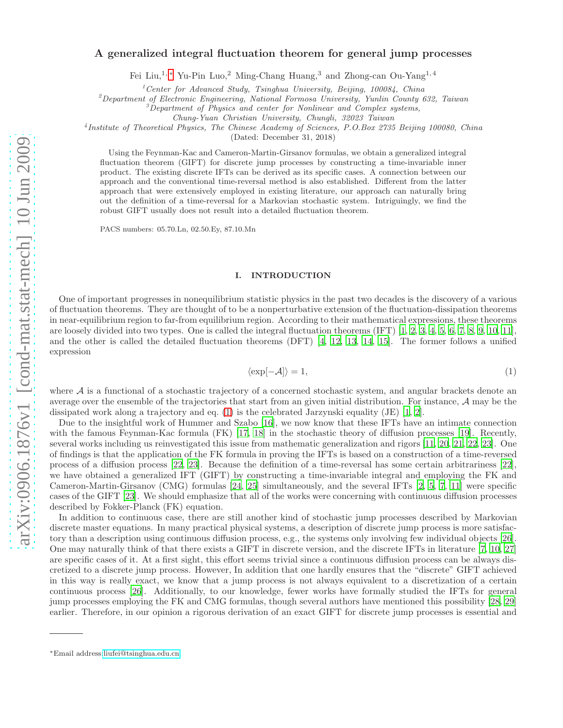# A generalized integral fluctuation theorem for general jump processes

Fei Liu,1, [∗](#page-0-0) Yu-Pin Luo,<sup>2</sup> Ming-Chang Huang,<sup>3</sup> and Zhong-can Ou-Yang1, 4

<sup>1</sup> Center for Advanced Study, Tsinghua University, Beijing, 100084, China

<sup>2</sup>Department of Electronic Engineering, National Formosa University, Yunlin County 632, Taiwan

 $\beta$ Department of Physics and center for Nonlinear and Complex systems,

Chung-Yuan Christian University, Chungli, 32023 Taiwan

4 Institute of Theoretical Physics, The Chinese Academy of Sciences, P.O.Box 2735 Beijing 100080, China

(Dated: December 31, 2018)

Using the Feynman-Kac and Cameron-Martin-Girsanov formulas, we obtain a generalized integral fluctuation theorem (GIFT) for discrete jump processes by constructing a time-invariable inner product. The existing discrete IFTs can be derived as its specific cases. A connection between our approach and the conventional time-reversal method is also established. Different from the latter approach that were extensively employed in existing literature, our approach can naturally bring out the definition of a time-reversal for a Markovian stochastic system. Intriguingly, we find the robust GIFT usually does not result into a detailed fluctuation theorem.

PACS numbers: 05.70.Ln, 02.50.Ey, 87.10.Mn

# I. INTRODUCTION

One of important progresses in nonequilibrium statistic physics in the past two decades is the discovery of a various of fluctuation theorems. They are thought of to be a nonperturbative extension of the fluctuation-dissipation theorems in near-equilibrium region to far-from equilibrium region. According to their mathematical expressions, these theorems are loosely divided into two types. One is called the integral fluctuation theorems (IFT) [\[1,](#page-4-0) [2,](#page-4-1) [3](#page-4-2), [4,](#page-4-3) [5](#page-4-4), [6,](#page-4-5) [7](#page-4-6), [8,](#page-5-0) [9,](#page-5-1) [10](#page-5-2), [11\]](#page-5-3), and the other is called the detailed fluctuation theorems (DFT) [\[4](#page-4-3), [12](#page-5-4), [13,](#page-5-5) [14,](#page-5-6) [15](#page-5-7)]. The former follows a unified expression

<span id="page-0-1"></span>
$$
\langle \exp[-\mathcal{A}] \rangle = 1,\tag{1}
$$

where  $A$  is a functional of a stochastic trajectory of a concerned stochastic system, and angular brackets denote an average over the ensemble of the trajectories that start from an given initial distribution. For instance, A may be the dissipated work along a trajectory and eq.  $(1)$  is the celebrated Jarzynski equality (JE) [\[1,](#page-4-0) [2\]](#page-4-1).

Due to the insightful work of Hummer and Szabo [\[16\]](#page-5-8), we now know that these IFTs have an intimate connection with the famous Feynman-Kac formula (FK) [\[17,](#page-5-9) [18](#page-5-10)] in the stochastic theory of diffusion processes [\[19\]](#page-5-11). Recently, several works including us reinvestigated this issue from mathematic generalization and rigors [\[11](#page-5-3), [20,](#page-5-12) [21,](#page-5-13) [22](#page-5-14), [23\]](#page-5-15). One of findings is that the application of the FK formula in proving the IFTs is based on a construction of a time-reversed process of a diffusion process [\[22,](#page-5-14) [23](#page-5-15)]. Because the definition of a time-reversal has some certain arbitrariness [\[22\]](#page-5-14), we have obtained a generalized IFT (GIFT) by constructing a time-invariable integral and employing the FK and Cameron-Martin-Girsanov (CMG) formulas [\[24,](#page-5-16) [25](#page-5-17)] simultaneously, and the several IFTs [\[2](#page-4-1), [5,](#page-4-4) [7,](#page-4-6) [11\]](#page-5-3) were specific cases of the GIFT [\[23](#page-5-15)]. We should emphasize that all of the works were concerning with continuous diffusion processes described by Fokker-Planck (FK) equation.

In addition to continuous case, there are still another kind of stochastic jump processes described by Markovian discrete master equations. In many practical physical systems, a description of discrete jump process is more satisfactory than a description using continuous diffusion process, e.g., the systems only involving few individual objects [\[26\]](#page-5-18). One may naturally think of that there exists a GIFT in discrete version, and the discrete IFTs in literature [\[7,](#page-4-6) [10,](#page-5-2) [27](#page-5-19)] are specific cases of it. At a first sight, this effort seems trivial since a continuous diffusion process can be always discretized to a discrete jump process. However, In addition that one hardly ensures that the "discrete" GIFT achieved in this way is really exact, we know that a jump process is not always equivalent to a discretization of a certain continuous process [\[26\]](#page-5-18). Additionally, to our knowledge, fewer works have formally studied the IFTs for general jump processes employing the FK and CMG formulas, though several authors have mentioned this possibility [\[28,](#page-5-20) [29](#page-5-21)] earlier. Therefore, in our opinion a rigorous derivation of an exact GIFT for discrete jump processes is essential and

<span id="page-0-0"></span><sup>∗</sup>Email address[:liufei@tsinghua.edu.cn](mailto:liufei@tsinghua.edu.cn)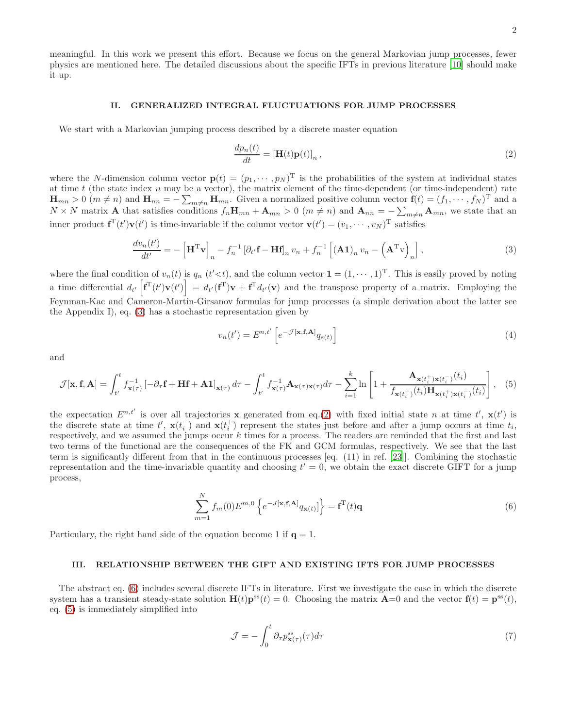meaningful. In this work we present this effort. Because we focus on the general Markovian jump processes, fewer physics are mentioned here. The detailed discussions about the specific IFTs in previous literature [\[10\]](#page-5-2) should make it up.

# II. GENERALIZED INTEGRAL FLUCTUATIONS FOR JUMP PROCESSES

We start with a Markovian jumping process described by a discrete master equation

<span id="page-1-1"></span>
$$
\frac{dp_n(t)}{dt} = [\mathbf{H}(t)\mathbf{p}(t)]_n,\tag{2}
$$

where the N-dimension column vector  $\mathbf{p}(t) = (p_1, \dots, p_N)$ <sup>T</sup> is the probabilities of the system at individual states at time t (the state index n may be a vector), the matrix element of the time-dependent (or time-independent) rate  $\mathbf{H}_{mn} > 0$   $(m \neq n)$  and  $\mathbf{H}_{nn} = -\sum_{m \neq n} \mathbf{H}_{mn}$ . Given a normalized positive column vector  $\mathbf{f}(t) = (f_1, \dots, f_N)^{\mathrm{T}}$  and a  $N \times N$  matrix **A** that satisfies conditions  $f_n \mathbf{H}_{mn} + \mathbf{A}_{mn} > 0$  ( $m \neq n$ ) and  $\mathbf{A}_{nn} = -\sum_{m \neq n} \mathbf{A}_{mn}$ , we state that an inner product  $f^{T}(t')\mathbf{v}(t')$  is time-invariable if the column vector  $\mathbf{v}(t') = (v_1, \dots, v_N)^T$  satisfies

<span id="page-1-0"></span>
$$
\frac{dv_n(t')}{dt'} = -\left[\mathbf{H}^{\mathrm{T}}\mathbf{v}\right]_n - f_n^{-1}\left[\partial_{t'}\mathbf{f} - \mathbf{H}\mathbf{f}\right]_n v_n + f_n^{-1}\left[\left(\mathbf{A}\mathbf{1}\right)_n v_n - \left(\mathbf{A}^{\mathrm{T}}\mathbf{v}\right)_n\right],\tag{3}
$$

where the final condition of  $v_n(t)$  is  $q_n$   $(t' < t)$ , and the column vector  $\mathbf{1} = (1, \dots, 1)^T$ . This is easily proved by noting a time differential  $d_{t'}\left[\mathbf{f}^{\mathrm{T}}(t')\mathbf{v}(t')\right] = d_{t'}(\mathbf{f}^{\mathrm{T}})\mathbf{v} + \mathbf{f}^{\mathrm{T}}d_{t'}(\mathbf{v})$  and the transpose property of a matrix. Employing the Feynman-Kac and Cameron-Martin-Girsanov formulas for jump processes (a simple derivation about the latter see the Appendix I), eq. [\(3\)](#page-1-0) has a stochastic representation given by

$$
v_n(t') = E^{n,t'} \left[ e^{-\mathcal{J}[\mathbf{x}, \mathbf{f}, \mathbf{A}]} q_{s(t)} \right]
$$
 (4)

and

<span id="page-1-3"></span>
$$
\mathcal{J}[\mathbf{x}, \mathbf{f}, \mathbf{A}] = \int_{t'}^{t} f_{\mathbf{x}(\tau)}^{-1} \left[ -\partial_{\tau} \mathbf{f} + \mathbf{H} \mathbf{f} + \mathbf{A} \mathbf{1} \right]_{\mathbf{x}(\tau)} d\tau - \int_{t'}^{t} f_{\mathbf{x}(\tau)}^{-1} \mathbf{A}_{\mathbf{x}(\tau)\mathbf{x}(\tau)} d\tau - \sum_{i=1}^{k} \ln \left[ 1 + \frac{\mathbf{A}_{\mathbf{x}(t_i^+) \mathbf{x}(t_i^-)}(t_i)}{f_{\mathbf{x}(t_i^-)}(t_i) \mathbf{H}_{\mathbf{x}(t_i^+) \mathbf{x}(t_i^-)}(t_i)} \right], \quad (5)
$$

the expectation  $E^{n,t'}$  is over all trajectories **x** generated from eq.[\(2\)](#page-1-1) with fixed initial state n at time t', **x**(t') is the discrete state at time  $t'$ ,  $\mathbf{x}(t_i)$  and  $\mathbf{x}(t_i^+)$  represent the states just before and after a jump occurs at time  $t_i$ , respectively, and we assumed the jumps occur  $k$  times for a process. The readers are reminded that the first and last two terms of the functional are the consequences of the FK and GCM formulas, respectively. We see that the last term is significantly different from that in the continuous processes [eq. (11) in ref. [\[23](#page-5-15)]]. Combining the stochastic representation and the time-invariable quantity and choosing  $t' = 0$ , we obtain the exact discrete GIFT for a jump process,

<span id="page-1-2"></span>
$$
\sum_{m=1}^{N} f_m(0) E^{m,0} \left\{ e^{-J[\mathbf{x}, \mathbf{f}, \mathbf{A}]} q_{\mathbf{x}(t)} \right\} = \mathbf{f}^{\mathrm{T}}(t) \mathbf{q}
$$
\n(6)

Particulary, the right hand side of the equation become 1 if  $q = 1$ .

# <span id="page-1-5"></span>III. RELATIONSHIP BETWEEN THE GIFT AND EXISTING IFTS FOR JUMP PROCESSES

The abstract eq. [\(6\)](#page-1-2) includes several discrete IFTs in literature. First we investigate the case in which the discrete system has a transient steady-state solution  $\mathbf{H}(t)\mathbf{p}^{\text{ss}}(t) = 0$ . Choosing the matrix  $\mathbf{A}=0$  and the vector  $\mathbf{f}(t) = \mathbf{p}^{\text{ss}}(t)$ , eq. [\(5\)](#page-1-3) is immediately simplified into

<span id="page-1-4"></span>
$$
\mathcal{J} = -\int_0^t \partial_\tau p_{\mathbf{x}(\tau)}^{\rm ss}(\tau) d\tau \tag{7}
$$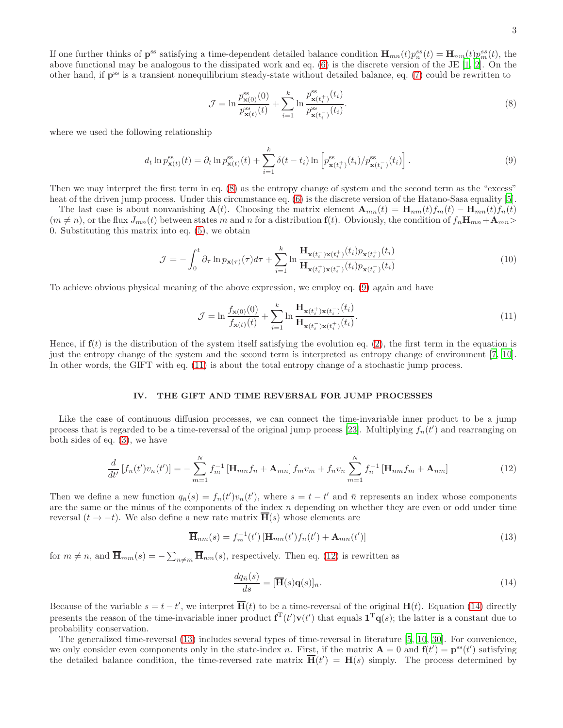If one further thinks of  $\mathbf{p}^{\text{ss}}$  satisfying a time-dependent detailed balance condition  $\mathbf{H}_{mn}(t)p_n^{ss}(t) = \mathbf{H}_{nm}(t)p_m^{ss}(t)$ , the above functional may be analogous to the dissipated work and eq. [\(6\)](#page-1-2) is the discrete version of the JE [\[1,](#page-4-0) [2\]](#page-4-1). On the other hand, if  $p^{ss}$  is a transient nonequilibrium steady-state without detailed balance, eq. [\(7\)](#page-1-4) could be rewritten to

<span id="page-2-0"></span>
$$
\mathcal{J} = \ln \frac{p_{\mathbf{x}(0)}^{\mathrm{ss}}(0)}{p_{\mathbf{x}(t)}^{\mathrm{ss}}(t)} + \sum_{i=1}^{k} \ln \frac{p_{\mathbf{x}(t_i^+)}^{\mathrm{ss}}(t_i)}{p_{\mathbf{x}(t_i^-)}^{\mathrm{ss}}(t_i)}.
$$
(8)

where we used the following relationship

<span id="page-2-1"></span>
$$
d_t \ln p_{\mathbf{x}(t)}^{\mathrm{ss}}(t) = \partial_t \ln p_{\mathbf{x}(t)}^{\mathrm{ss}}(t) + \sum_{i=1}^k \delta(t - t_i) \ln \left[ p_{\mathbf{x}(t_i^+)}^{\mathrm{ss}}(t_i) / p_{\mathbf{x}(t_i^-)}^{\mathrm{ss}}(t_i) \right]. \tag{9}
$$

Then we may interpret the first term in eq. [\(8\)](#page-2-0) as the entropy change of system and the second term as the "excess" heat of the driven jump process. Under this circumstance eq. [\(6\)](#page-1-2) is the discrete version of the Hatano-Sasa equality [\[5\]](#page-4-4).

The last case is about nonvanishing  $\mathbf{A}(t)$ . Choosing the matrix element  $\mathbf{A}_{mn}(t) = \mathbf{H}_{nm}(t)f_m(t) - \mathbf{H}_{mn}(t)f_n(t)$  $(m \neq n)$ , or the flux  $J_{mn}(t)$  between states m and n for a distribution  $f(t)$ . Obviously, the condition of  $f_n\mathbf{H}_{mn}+\mathbf{A}_{mn}$ 0. Substituting this matrix into eq. [\(5\)](#page-1-3), we obtain

<span id="page-2-6"></span>
$$
\mathcal{J} = -\int_0^t \partial_\tau \ln p_{\mathbf{x}(\tau)}(\tau) d\tau + \sum_{i=1}^k \ln \frac{\mathbf{H}_{\mathbf{x}(t_i^-) \mathbf{x}(t_i^+)}(t_i) p_{\mathbf{x}(t_i^+)}(t_i)}{\mathbf{H}_{\mathbf{x}(t_i^+) \mathbf{x}(t_i^-)}(t_i) p_{\mathbf{x}(t_i^-)}(t_i)}
$$
(10)

To achieve obvious physical meaning of the above expression, we employ eq. [\(9\)](#page-2-1) again and have

<span id="page-2-2"></span>
$$
\mathcal{J} = \ln \frac{f_{\mathbf{x}(0)}(0)}{f_{\mathbf{x}(t)}(t)} + \sum_{i=1}^{k} \ln \frac{\mathbf{H}_{\mathbf{x}(t_i^+) \mathbf{x}(t_i^-)}(t_i)}{\mathbf{H}_{\mathbf{x}(t_i^-) \mathbf{x}(t_i^+)}(t_i)}.
$$
(11)

Hence, if  $f(t)$  is the distribution of the system itself satisfying the evolution eq. [\(2\)](#page-1-1), the first term in the equation is just the entropy change of the system and the second term is interpreted as entropy change of environment [\[7,](#page-4-6) [10\]](#page-5-2). In other words, the GIFT with eq. [\(11\)](#page-2-2) is about the total entropy change of a stochastic jump process.

#### IV. THE GIFT AND TIME REVERSAL FOR JUMP PROCESSES

Like the case of continuous diffusion processes, we can connect the time-invariable inner product to be a jump process that is regarded to be a time-reversal of the original jump process [\[23](#page-5-15)]. Multiplying  $f_n(t')$  and rearranging on both sides of eq. [\(3\)](#page-1-0), we have

<span id="page-2-3"></span>
$$
\frac{d}{dt'}[f_n(t')v_n(t')] = -\sum_{m=1}^N f_m^{-1} \left[ \mathbf{H}_{mn} f_n + \mathbf{A}_{mn} \right] f_m v_m + f_n v_n \sum_{m=1}^N f_n^{-1} \left[ \mathbf{H}_{nm} f_m + \mathbf{A}_{nm} \right]
$$
(12)

Then we define a new function  $q_{\bar{n}}(s) = f_n(t')v_n(t')$ , where  $s = t - t'$  and  $\bar{n}$  represents an index whose components are the same or the minus of the components of the index  $n$  depending on whether they are even or odd under time reversal  $(t \to -t)$ . We also define a new rate matrix  $\overline{H}(s)$  whose elements are

<span id="page-2-5"></span>
$$
\overline{\mathbf{H}}_{\bar{n}\bar{m}}(s) = f_m^{-1}(t') \left[ \mathbf{H}_{mn}(t') f_n(t') + \mathbf{A}_{mn}(t') \right]
$$
\n(13)

for  $m \neq n$ , and  $\overline{\mathbf{H}}_{mm}(s) = -\sum_{n \neq m} \overline{\mathbf{H}}_{nm}(s)$ , respectively. Then eq. [\(12\)](#page-2-3) is rewritten as

<span id="page-2-4"></span>
$$
\frac{dq_{\bar{n}}(s)}{ds} = [\overline{\mathbf{H}}(s)\mathbf{q}(s)]_{\bar{n}}.\tag{14}
$$

Because of the variable  $s = t - t'$ , we interpret  $\overline{H}(t)$  to be a time-reversal of the original  $H(t)$ . Equation [\(14\)](#page-2-4) directly presents the reason of the time-invariable inner product  $f^{T}(t')v(t')$  that equals  $1^{T}q(s)$ ; the latter is a constant due to probability conservation.

The generalized time-reversal [\(13\)](#page-2-5) includes several types of time-reversal in literature [\[5,](#page-4-4) [10](#page-5-2), [30](#page-5-22)]. For convenience, we only consider even components only in the state-index n. First, if the matrix  $\mathbf{A} = 0$  and  $\mathbf{f}(t') = \mathbf{p}^{ss}(t')$  satisfying the detailed balance condition, the time-reversed rate matrix  $\overline{H}(t') = H(s)$  simply. The process determined by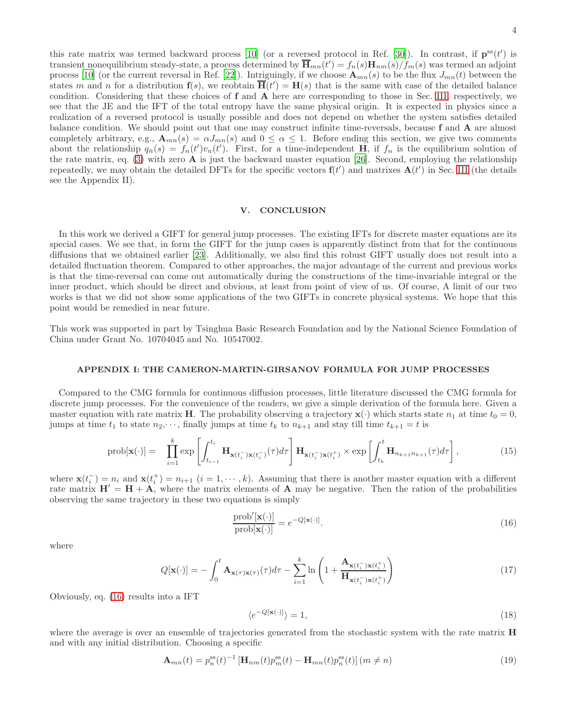4

this rate matrix was termed backward process [\[10\]](#page-5-2) (or a reversed protocol in Ref. [\[30](#page-5-22)]). In contrast, if  $\mathbf{p}^{\text{ss}}(t')$  is transient nonequilibrium steady-state, a process determined by  $\overline{\mathbf{H}}_{mn}(t') = f_n(s) \mathbf{H}_{nm}(s) / f_m(s)$  was termed an adjoint process [\[10](#page-5-2)] (or the current reversal in Ref. [\[22](#page-5-14)]). Intriguingly, if we choose  $\mathbf{A}_{mn}(s)$  to be the flux  $J_{mn}(t)$  between the states m and n for a distribution  $f(s)$ , we reobtain  $\overline{H}(t') = H(s)$  that is the same with case of the detailed balance condition. Considering that these choices of f and A here are corresponding to those in Sec. [III,](#page-1-5) respectively, we see that the JE and the IFT of the total entropy have the same physical origin. It is expected in physics since a realization of a reversed protocol is usually possible and does not depend on whether the system satisfies detailed balance condition. We should point out that one may construct infinite time-reversals, because f and A are almost completely arbitrary, e.g.,  $\mathbf{A}_{mn}(s) = \alpha J_{mn}(s)$  and  $0 \leq \alpha \leq 1$ . Before ending this section, we give two comments about the relationship  $q_{\bar{n}}(s) = f_n(t')v_n(t')$ . First, for a time-independent H, if  $f_n$  is the equilibrium solution of the rate matrix, eq. [\(3\)](#page-1-0) with zero  $\bf{A}$  is just the backward master equation [\[26\]](#page-5-18). Second, employing the relationship repeatedly, we may obtain the detailed DFTs for the specific vectors  $f(t')$  and matrixes  $A(t')$  in Sec. [III](#page-1-5) (the details see the Appendix II).

# V. CONCLUSION

In this work we derived a GIFT for general jump processes. The existing IFTs for discrete master equations are its special cases. We see that, in form the GIFT for the jump cases is apparently distinct from that for the continuous diffusions that we obtained earlier [\[23\]](#page-5-15). Additionally, we also find this robust GIFT usually does not result into a detailed fluctuation theorem. Compared to other approaches, the major advantage of the current and previous works is that the time-reversal can come out automatically during the constructions of the time-invariable integral or the inner product, which should be direct and obvious, at least from point of view of us. Of course, A limit of our two works is that we did not show some applications of the two GIFTs in concrete physical systems. We hope that this point would be remedied in near future.

This work was supported in part by Tsinghua Basic Research Foundation and by the National Science Foundation of China under Grant No. 10704045 and No. 10547002.

#### APPENDIX I: THE CAMERON-MARTIN-GIRSANOV FORMULA FOR JUMP PROCESSES

Compared to the CMG formula for continuous diffusion processes, little literature discussed the CMG formula for discrete jump processes. For the convenience of the readers, we give a simple derivation of the formula here. Given a master equation with rate matrix H. The probability observing a trajectory  $\mathbf{x}(\cdot)$  which starts state  $n_1$  at time  $t_0 = 0$ , jumps at time  $t_1$  to state  $n_2,\dots$ , finally jumps at time  $t_k$  to  $n_{k+1}$  and stay till time  $t_{k+1} = t$  is

$$
\text{prob}[\mathbf{x}(\cdot)] = \prod_{i=1}^{k} \exp\left[\int_{t_{i-1}}^{t_i} \mathbf{H}_{\mathbf{x}(t_i^-)\mathbf{x}(t_i^-)}(\tau) d\tau\right] \mathbf{H}_{\mathbf{x}(t_i^-)\mathbf{x}(t_i^+)} \times \exp\left[\int_{t_k}^{t} \mathbf{H}_{n_{k+1}n_{k+1}}(\tau) d\tau\right],\tag{15}
$$

where  $\mathbf{x}(t_i^-) = n_i$  and  $\mathbf{x}(t_i^+) = n_{i+1}$   $(i = 1, \dots, k)$ . Assuming that there is another master equation with a different rate matrix  $H' = H + A$ , where the matrix elements of A may be negative. Then the ration of the probabilities observing the same trajectory in these two equations is simply

<span id="page-3-0"></span>
$$
\frac{\text{prob}'[\mathbf{x}(\cdot)]}{\text{prob}[\mathbf{x}(\cdot)]} = e^{-Q[\mathbf{x}(\cdot)]}.
$$
\n(16)

where

$$
Q[\mathbf{x}(\cdot)] = -\int_0^t \mathbf{A}_{\mathbf{x}(\tau)\mathbf{x}(\tau)}(\tau) d\tau - \sum_{i=1}^k \ln\left(1 + \frac{\mathbf{A}_{\mathbf{x}(t_i^-)\mathbf{x}(t_i^+)}}{\mathbf{H}_{\mathbf{x}(t_i^-)\mathbf{x}(t_i^+)}}\right)
$$
(17)

Obviously, eq. [\(16\)](#page-3-0) results into a IFT

$$
\langle e^{-Q[\mathbf{x}(\cdot)]}\rangle = 1,\tag{18}
$$

where the average is over an ensemble of trajectories generated from the stochastic system with the rate matrix **H** and with any initial distribution. Choosing a specific

$$
\mathbf{A}_{mn}(t) = p_n^{\text{ss}}(t)^{-1} \left[ \mathbf{H}_{nm}(t) p_m^{\text{ss}}(t) - \mathbf{H}_{mn}(t) p_n^{\text{ss}}(t) \right] \left( m \neq n \right) \tag{19}
$$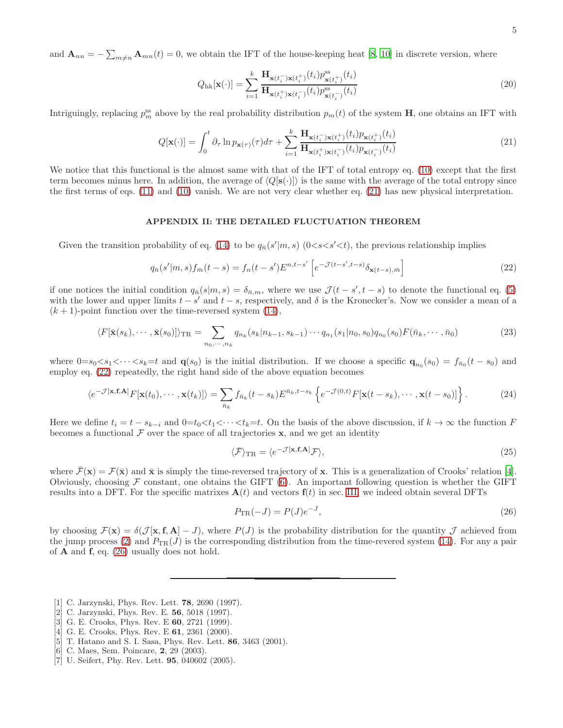and  $\mathbf{A}_{nn} = -\sum_{m \neq n} \mathbf{A}_{mn}(t) = 0$ , we obtain the IFT of the house-keeping heat [\[8](#page-5-0), [10](#page-5-2)] in discrete version, where

$$
Q_{\text{hk}}[\mathbf{x}(\cdot)] = \sum_{i=1}^{k} \frac{\mathbf{H}_{\mathbf{x}(t_i^-) \mathbf{x}(t_i^+)}(t_i) p_{\mathbf{x}(t_i^+)}^{\text{ss}}(t_i)}{\mathbf{H}_{\mathbf{x}(t_i^+) \mathbf{x}(t_i^-)}(t_i) p_{\mathbf{x}(t_i^-)}^{\text{ss}}(t_i)}
$$
(20)

Intriguingly, replacing  $p_m^{\text{ss}}$  above by the real probability distribution  $p_m(t)$  of the system **H**, one obtains an IFT with

<span id="page-4-7"></span>
$$
Q[\mathbf{x}(\cdot)] = \int_0^t \partial_\tau \ln p_{\mathbf{x}(\tau)}(\tau) d\tau + \sum_{i=1}^k \frac{\mathbf{H}_{\mathbf{x}(t_i^-) \mathbf{x}(t_i^+)}(t_i) p_{\mathbf{x}(t_i^+)}(t_i)}{\mathbf{H}_{\mathbf{x}(t_i^+) \mathbf{x}(t_i^-)}(t_i) p_{\mathbf{x}(t_i^-)}(t_i)}
$$
(21)

We notice that this functional is the almost same with that of the IFT of total entropy eq. [\(10\)](#page-2-6) except that the first term becomes minus here. In addition, the average of  $\langle Q[\mathbf{s}(\cdot)] \rangle$  is the same with the average of the total entropy since the first terms of eqs. [\(11\)](#page-2-2) and [\(10\)](#page-2-6) vanish. We are not very clear whether eq. [\(21\)](#page-4-7) has new physical interpretation.

#### APPENDIX II: THE DETAILED FLUCTUATION THEOREM

Given the transition probability of eq. [\(14\)](#page-2-4) to be  $q_{\bar{n}}(s'|m, s)$  (0<s<s' <t), the previous relationship implies

<span id="page-4-8"></span>
$$
q_{\bar{n}}(s'|m,s)f_{\bar{m}}(t-s) = f_n(t-s')E^{n,t-s'}\left[e^{-\mathcal{J}(t-s',t-s)}\delta_{\mathbf{x}(t-s),\bar{m}}\right]
$$
(22)

if one notices the initial condition  $q_{\bar{n}}(s|m, s) = \delta_{\bar{n},m}$ , where we use  $\mathcal{J}(t - s', t - s)$  to denote the functional eq. [\(5\)](#page-1-3) with the lower and upper limits  $t - s'$  and  $t - s$ , respectively, and  $\delta$  is the Kronecker's. Now we consider a mean of a  $(k + 1)$ -point function over the time-reversed system [\(14\)](#page-2-4),

$$
\langle F[\bar{\mathbf{x}}(s_k),\cdots,\bar{\mathbf{x}}(s_0)]\rangle_{\text{TR}} = \sum_{n_0,\cdots,n_k} q_{n_k}(s_k|n_{k-1},s_{k-1})\cdots q_{n_1}(s_1|n_0,s_0)q_{n_0}(s_0)F(\bar{n}_k,\cdots,\bar{n}_0)
$$
(23)

where  $0=s_0 and  $\mathbf{q}(s_0)$  is the initial distribution. If we choose a specific  $\mathbf{q}_{n_0}(s_0) = f_{\bar{n}_0}(t-s_0)$  and$ employ eq. [\(22\)](#page-4-8) repeatedly, the right hand side of the above equation becomes

$$
\langle e^{-\mathcal{J}[\mathbf{x}, \mathbf{f}, \mathbf{A}]} F[\mathbf{x}(t_0), \cdots, \mathbf{x}(t_k)] \rangle = \sum_{\bar{n}_k} f_{\bar{n}_k}(t - s_k) E^{\bar{n}_k, t - s_k} \left\{ e^{-\mathcal{J}(0, t)} F[\mathbf{x}(t - s_k), \cdots, \mathbf{x}(t - s_0)] \right\}.
$$
 (24)

Here we define  $t_i = t - s_{k-i}$  and  $0=t_0 < t_1 < \cdots < t_k=t$ . On the basis of the above discussion, if  $k \to \infty$  the function F becomes a functional  $\mathcal F$  over the space of all trajectories  $\mathbf x$ , and we get an identity

$$
\langle \bar{\mathcal{F}} \rangle_{\rm TR} = \langle e^{-\mathcal{J}[\mathbf{x}, \mathbf{f}, \mathbf{A}]} \mathcal{F} \rangle, \tag{25}
$$

where  $\bar{\mathcal{F}}(\mathbf{x}) = \mathcal{F}(\bar{\mathbf{x}})$  and  $\bar{\mathbf{x}}$  is simply the time-reversed trajectory of x. This is a generalization of Crooks' relation [\[4\]](#page-4-3). Obviously, choosing  $\mathcal F$  constant, one obtains the GIFT [\(6\)](#page-1-2). An important following question is whether the GIFT results into a DFT. For the specific matrixes  $A(t)$  and vectors  $f(t)$  in sec. [III,](#page-1-5) we indeed obtain several DFTs

<span id="page-4-9"></span>
$$
P_{\rm TR}(-J) = P(J)e^{-J},\tag{26}
$$

by choosing  $\mathcal{F}(\mathbf{x}) = \delta(\mathcal{J}[\mathbf{x}, \mathbf{f}, \mathbf{A}] - J)$ , where  $P(J)$  is the probability distribution for the quantity  $J$  achieved from the jump process [\(2\)](#page-1-1) and  $P_{TR}(J)$  is the corresponding distribution from the time-revered system [\(14\)](#page-2-4). For any a pair of  $A$  and  $f$ , eq. [\(26\)](#page-4-9) usually does not hold.

- <span id="page-4-0"></span>[1] C. Jarzynski, Phys. Rev. Lett. **78**, 2690 (1997).
- <span id="page-4-1"></span>[2] C. Jarzynski, Phys. Rev. E. 56, 5018 (1997).
- <span id="page-4-2"></span>[3] G. E. Crooks, Phys. Rev. E 60, 2721 (1999).
- <span id="page-4-3"></span>[4] G. E. Crooks, Phys. Rev. E **61**, 2361 (2000).
- <span id="page-4-4"></span>[5] T. Hatano and S. I. Sasa, Phys. Rev. Lett. 86, 3463 (2001).
- <span id="page-4-5"></span>[6] C. Maes, Sem. Poincare, 2, 29 (2003).
- <span id="page-4-6"></span>[7] U. Seifert, Phy. Rev. Lett. 95, 040602 (2005).